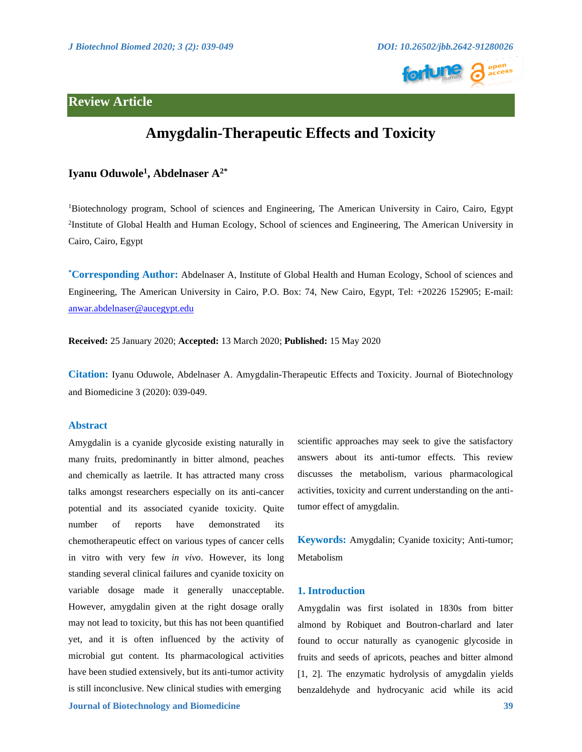

# **Review Article**



# **Amygdalin-Therapeutic Effects and Toxicity**

## **Iyanu Oduwole<sup>1</sup> , Abdelnaser A2\***

<sup>1</sup>Biotechnology program, School of sciences and Engineering, The American University in Cairo, Cairo, Egypt <sup>2</sup>Institute of Global Health and Human Ecology, School of sciences and Engineering, The American University in Cairo, Cairo, Egypt

**\*Corresponding Author:** Abdelnaser A, Institute of Global Health and Human Ecology, School of sciences and Engineering, The American University in Cairo, P.O. Box: 74, New Cairo, Egypt, Tel: +20226 152905; E-mail: [anwar.abdelnaser@aucegypt.edu](mailto:anwar.abdelnaser@aucegypt.edu)

**Received:** 25 January 2020; **Accepted:** 13 March 2020; **Published:** 15 May 2020

**Citation:** Iyanu Oduwole, Abdelnaser A. Amygdalin-Therapeutic Effects and Toxicity. Journal of Biotechnology and Biomedicine 3 (2020): 039-049.

#### **Abstract**

Amygdalin is a cyanide glycoside existing naturally in many fruits, predominantly in bitter almond, peaches and chemically as laetrile. It has attracted many cross talks amongst researchers especially on its anti-cancer potential and its associated cyanide toxicity. Quite number of reports have demonstrated its chemotherapeutic effect on various types of cancer cells in vitro with very few *in vivo*. However, its long standing several clinical failures and cyanide toxicity on variable dosage made it generally unacceptable. However, amygdalin given at the right dosage orally may not lead to toxicity, but this has not been quantified yet, and it is often influenced by the activity of microbial gut content. Its pharmacological activities have been studied extensively, but its anti-tumor activity is still inconclusive. New clinical studies with emerging

scientific approaches may seek to give the satisfactory answers about its anti-tumor effects. This review discusses the metabolism, various pharmacological activities, toxicity and current understanding on the antitumor effect of amygdalin.

**Keywords:** Amygdalin; Cyanide toxicity; Anti-tumor; Metabolism

#### **1. Introduction**

Amygdalin was first isolated in 1830s from bitter almond by Robiquet and Boutron-charlard and later found to occur naturally as cyanogenic glycoside in fruits and seeds of apricots, peaches and bitter almond [1, 2]. The enzymatic hydrolysis of amygdalin yields benzaldehyde and hydrocyanic acid while its acid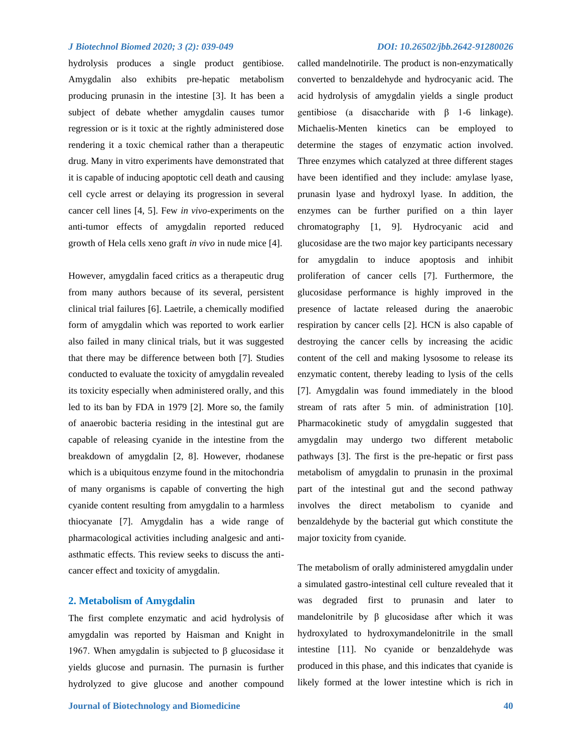hydrolysis produces a single product gentibiose. Amygdalin also exhibits pre-hepatic metabolism producing prunasin in the intestine [3]. It has been a subject of debate whether amygdalin causes tumor regression or is it toxic at the rightly administered dose rendering it a toxic chemical rather than a therapeutic drug. Many in vitro experiments have demonstrated that it is capable of inducing apoptotic cell death and causing cell cycle arrest or delaying its progression in several cancer cell lines [4, 5]. Few *in vivo*-experiments on the anti-tumor effects of amygdalin reported reduced growth of Hela cells xeno graft *in vivo* in nude mice [4].

However, amygdalin faced critics as a therapeutic drug from many authors because of its several, persistent clinical trial failures [6]. Laetrile, a chemically modified form of amygdalin which was reported to work earlier also failed in many clinical trials, but it was suggested that there may be difference between both [7]. Studies conducted to evaluate the toxicity of amygdalin revealed its toxicity especially when administered orally, and this led to its ban by FDA in 1979 [2]. More so, the family of anaerobic bacteria residing in the intestinal gut are capable of releasing cyanide in the intestine from the breakdown of amygdalin [2, 8]. However, rhodanese which is a ubiquitous enzyme found in the mitochondria of many organisms is capable of converting the high cyanide content resulting from amygdalin to a harmless thiocyanate [7]. Amygdalin has a wide range of pharmacological activities including analgesic and antiasthmatic effects. This review seeks to discuss the anticancer effect and toxicity of amygdalin.

### **2. Metabolism of Amygdalin**

The first complete enzymatic and acid hydrolysis of amygdalin was reported by Haisman and Knight in 1967. When amygdalin is subjected to β glucosidase it yields glucose and purnasin. The purnasin is further hydrolyzed to give glucose and another compound

called mandelnotirile. The product is non-enzymatically converted to benzaldehyde and hydrocyanic acid. The acid hydrolysis of amygdalin yields a single product gentibiose (a disaccharide with β 1-6 linkage). Michaelis-Menten kinetics can be employed to determine the stages of enzymatic action involved. Three enzymes which catalyzed at three different stages have been identified and they include: amylase lyase, prunasin lyase and hydroxyl lyase. In addition, the enzymes can be further purified on a thin layer chromatography [1, 9]. Hydrocyanic acid and glucosidase are the two major key participants necessary for amygdalin to induce apoptosis and inhibit proliferation of cancer cells [7]. Furthermore, the glucosidase performance is highly improved in the presence of lactate released during the anaerobic respiration by cancer cells [2]. HCN is also capable of destroying the cancer cells by increasing the acidic content of the cell and making lysosome to release its enzymatic content, thereby leading to lysis of the cells [7]. Amygdalin was found immediately in the blood stream of rats after 5 min. of administration [10]. Pharmacokinetic study of amygdalin suggested that amygdalin may undergo two different metabolic pathways [3]. The first is the pre-hepatic or first pass metabolism of amygdalin to prunasin in the proximal part of the intestinal gut and the second pathway involves the direct metabolism to cyanide and benzaldehyde by the bacterial gut which constitute the major toxicity from cyanide.

The metabolism of orally administered amygdalin under a simulated gastro-intestinal cell culture revealed that it was degraded first to prunasin and later to mandelonitrile by β glucosidase after which it was hydroxylated to hydroxymandelonitrile in the small intestine [11]. No cyanide or benzaldehyde was produced in this phase, and this indicates that cyanide is likely formed at the lower intestine which is rich in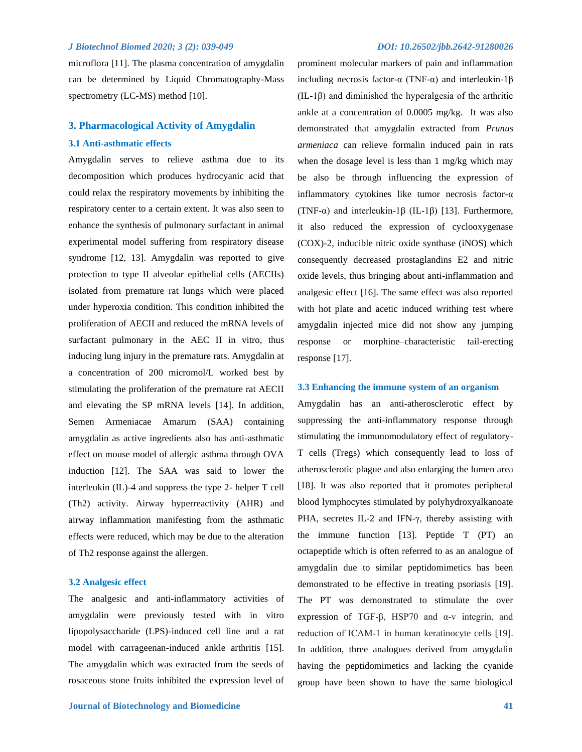microflora [11]. The plasma concentration of amygdalin can be determined by Liquid Chromatography-Mass spectrometry (LC-MS) method [10].

# **3. Pharmacological Activity of Amygdalin 3.1 Anti-asthmatic effects**

Amygdalin serves to relieve asthma due to its decomposition which produces hydrocyanic acid that could relax the respiratory movements by inhibiting the respiratory center to a certain extent. It was also seen to enhance the synthesis of pulmonary surfactant in animal experimental model suffering from respiratory disease syndrome [12, 13]. Amygdalin was reported to give protection to type II alveolar epithelial cells (AECIIs) isolated from premature rat lungs which were placed under hyperoxia condition. This condition inhibited the proliferation of AECII and reduced the mRNA levels of surfactant pulmonary in the AEC II in vitro, thus inducing lung injury in the premature rats. Amygdalin at a concentration of 200 micromol/L worked best by stimulating the proliferation of the premature rat AECII and elevating the SP mRNA levels [14]. In addition, Semen Armeniacae Amarum (SAA) containing amygdalin as active ingredients also has anti-asthmatic effect on mouse model of allergic asthma through OVA induction [12]. The SAA was said to lower the interleukin (IL)-4 and suppress the type 2- helper T cell (Th2) activity. Airway hyperreactivity (AHR) and airway inflammation manifesting from the asthmatic effects were reduced, which may be due to the alteration of Th2 response against the allergen.

#### **3.2 Analgesic effect**

The analgesic and anti-inflammatory activities of amygdalin were previously tested with in vitro lipopolysaccharide (LPS)-induced cell line and a rat model with carrageenan-induced ankle arthritis [15]. The amygdalin which was extracted from the seeds of rosaceous stone fruits inhibited the expression level of

prominent molecular markers of pain and inflammation including necrosis factor-α (TNF-α) and interleukin-1β (IL-1β) and diminished the hyperalgesia of the arthritic ankle at a concentration of 0.0005 mg/kg. It was also demonstrated that amygdalin extracted from *Prunus armeniaca* can relieve formalin induced pain in rats when the dosage level is less than 1 mg/kg which may be also be through influencing the expression of inflammatory cytokines like tumor necrosis factor-α (TNF-α) and interleukin-1β (IL-1β) [13]. Furthermore, it also reduced the expression of cyclooxygenase (COX)-2, inducible nitric oxide synthase (iNOS) which consequently decreased prostaglandins E2 and nitric oxide levels, thus bringing about anti-inflammation and analgesic effect [16]. The same effect was also reported with hot plate and acetic induced writhing test where amygdalin injected mice did not show any jumping response or morphine–characteristic tail-erecting response [17].

#### **3.3 Enhancing the immune system of an organism**

Amygdalin has an anti-atherosclerotic effect by suppressing the anti-inflammatory response through stimulating the immunomodulatory effect of regulatory-T cells (Tregs) which consequently lead to loss of atherosclerotic plague and also enlarging the lumen area [18]. It was also reported that it promotes peripheral blood lymphocytes stimulated by polyhydroxyalkanoate PHA, secretes IL-2 and IFN-γ, thereby assisting with the immune function [13]. Peptide T (PT) an octapeptide which is often referred to as an analogue of amygdalin due to similar peptidomimetics has been demonstrated to be effective in treating psoriasis [19]. The PT was demonstrated to stimulate the over expression of TGF‐β, HSP70 and α‐v integrin, and reduction of ICAM-1 in human keratinocyte cells [19]. In addition, three analogues derived from amygdalin having the peptidomimetics and lacking the cyanide group have been shown to have the same biological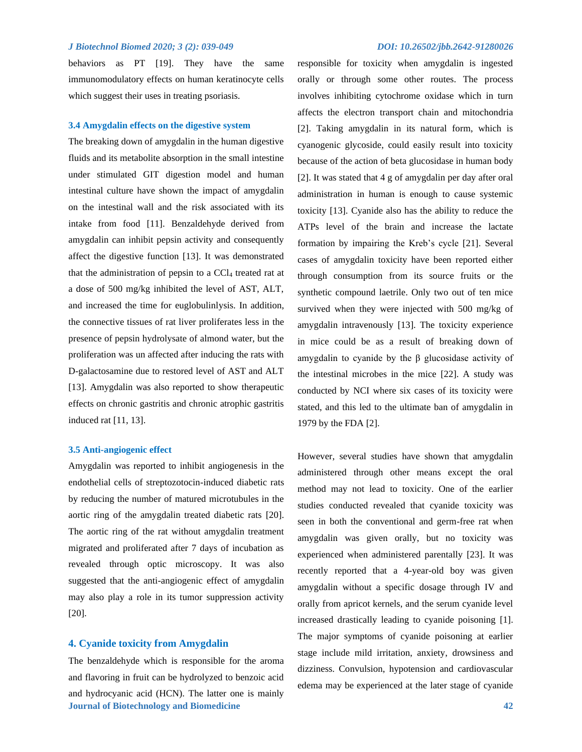behaviors as PT [19]. They have the same immunomodulatory effects on human keratinocyte cells which suggest their uses in treating psoriasis.

#### **3.4 Amygdalin effects on the digestive system**

The breaking down of amygdalin in the human digestive fluids and its metabolite absorption in the small intestine under stimulated GIT digestion model and human intestinal culture have shown the impact of amygdalin on the intestinal wall and the risk associated with its intake from food [11]. Benzaldehyde derived from amygdalin can inhibit pepsin activity and consequently affect the digestive function [13]. It was demonstrated that the administration of pepsin to a CCl<sub>4</sub> treated rat at a dose of 500 mg/kg inhibited the level of AST, ALT, and increased the time for euglobulinlysis. In addition, the connective tissues of rat liver proliferates less in the presence of pepsin hydrolysate of almond water, but the proliferation was un affected after inducing the rats with D-galactosamine due to restored level of AST and ALT [13]. Amygdalin was also reported to show therapeutic effects on chronic gastritis and chronic atrophic gastritis induced rat [11, 13].

#### **3.5 Anti-angiogenic effect**

Amygdalin was reported to inhibit angiogenesis in the endothelial cells of streptozotocin-induced diabetic rats by reducing the number of matured microtubules in the aortic ring of the amygdalin treated diabetic rats [20]. The aortic ring of the rat without amygdalin treatment migrated and proliferated after 7 days of incubation as revealed through optic microscopy. It was also suggested that the anti-angiogenic effect of amygdalin may also play a role in its tumor suppression activity [20].

#### **4. Cyanide toxicity from Amygdalin**

**Journal of Biotechnology and Biomedicine 42** The benzaldehyde which is responsible for the aroma and flavoring in fruit can be hydrolyzed to benzoic acid and hydrocyanic acid (HCN). The latter one is mainly

responsible for toxicity when amygdalin is ingested orally or through some other routes. The process involves inhibiting cytochrome oxidase which in turn affects the electron transport chain and mitochondria [2]. Taking amygdalin in its natural form, which is cyanogenic glycoside, could easily result into toxicity because of the action of beta glucosidase in human body [2]. It was stated that 4 g of amygdalin per day after oral administration in human is enough to cause systemic toxicity [13]. Cyanide also has the ability to reduce the ATPs level of the brain and increase the lactate formation by impairing the Kreb's cycle [21]. Several cases of amygdalin toxicity have been reported either through consumption from its source fruits or the synthetic compound laetrile. Only two out of ten mice survived when they were injected with 500 mg/kg of amygdalin intravenously [13]. The toxicity experience in mice could be as a result of breaking down of amygdalin to cyanide by the β glucosidase activity of the intestinal microbes in the mice [22]. A study was conducted by NCI where six cases of its toxicity were stated, and this led to the ultimate ban of amygdalin in 1979 by the FDA [2].

However, several studies have shown that amygdalin administered through other means except the oral method may not lead to toxicity. One of the earlier studies conducted revealed that cyanide toxicity was seen in both the conventional and germ-free rat when amygdalin was given orally, but no toxicity was experienced when administered parentally [23]. It was recently reported that a 4-year-old boy was given amygdalin without a specific dosage through IV and orally from apricot kernels, and the serum cyanide level increased drastically leading to cyanide poisoning [1]. The major symptoms of cyanide poisoning at earlier stage include mild irritation, anxiety, drowsiness and dizziness. Convulsion, hypotension and cardiovascular edema may be experienced at the later stage of cyanide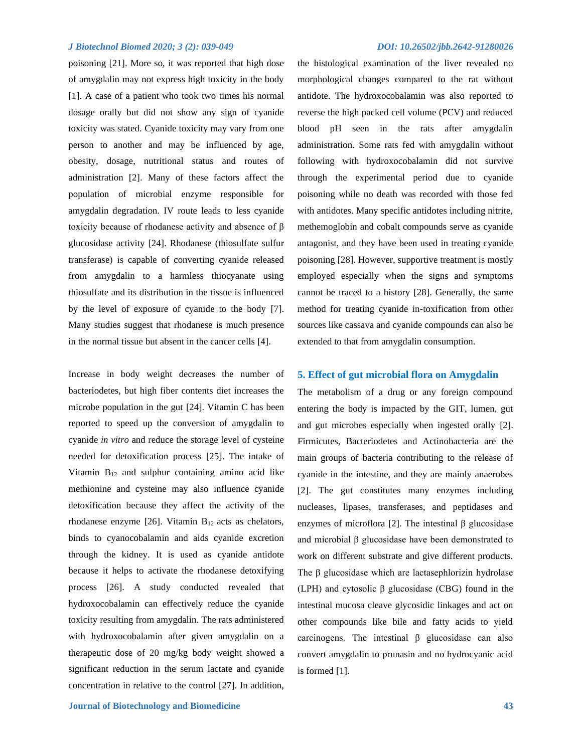poisoning [21]. More so, it was reported that high dose of amygdalin may not express high toxicity in the body [1]. A case of a patient who took two times his normal dosage orally but did not show any sign of cyanide toxicity was stated. Cyanide toxicity may vary from one person to another and may be influenced by age, obesity, dosage, nutritional status and routes of administration [2]. Many of these factors affect the population of microbial enzyme responsible for amygdalin degradation. IV route leads to less cyanide toxicity because of rhodanese activity and absence of β glucosidase activity [24]. Rhodanese (thiosulfate sulfur transferase) is capable of converting cyanide released from amygdalin to a harmless thiocyanate using thiosulfate and its distribution in the tissue is influenced by the level of exposure of cyanide to the body [7]. Many studies suggest that rhodanese is much presence in the normal tissue but absent in the cancer cells [4].

Increase in body weight decreases the number of bacteriodetes, but high fiber contents diet increases the microbe population in the gut [24]. Vitamin C has been reported to speed up the conversion of amygdalin to cyanide *in vitro* and reduce the storage level of cysteine needed for detoxification process [25]. The intake of Vitamin B<sup>12</sup> and sulphur containing amino acid like methionine and cysteine may also influence cyanide detoxification because they affect the activity of the rhodanese enzyme [26]. Vitamin  $B_{12}$  acts as chelators, binds to cyanocobalamin and aids cyanide excretion through the kidney. It is used as cyanide antidote because it helps to activate the rhodanese detoxifying process [26]. A study conducted revealed that hydroxocobalamin can effectively reduce the cyanide toxicity resulting from amygdalin. The rats administered with hydroxocobalamin after given amygdalin on a therapeutic dose of 20 mg/kg body weight showed a significant reduction in the serum lactate and cyanide concentration in relative to the control [27]. In addition,

the histological examination of the liver revealed no morphological changes compared to the rat without antidote. The hydroxocobalamin was also reported to reverse the high packed cell volume (PCV) and reduced blood pH seen in the rats after amygdalin administration. Some rats fed with amygdalin without following with hydroxocobalamin did not survive through the experimental period due to cyanide poisoning while no death was recorded with those fed with antidotes. Many specific antidotes including nitrite, methemoglobin and cobalt compounds serve as cyanide antagonist, and they have been used in treating cyanide poisoning [28]. However, supportive treatment is mostly employed especially when the signs and symptoms cannot be traced to a history [28]. Generally, the same method for treating cyanide in-toxification from other sources like cassava and cyanide compounds can also be extended to that from amygdalin consumption.

### **5. Effect of gut microbial flora on Amygdalin**

The metabolism of a drug or any foreign compound entering the body is impacted by the GIT, lumen, gut and gut microbes especially when ingested orally [2]. Firmicutes, Bacteriodetes and Actinobacteria are the main groups of bacteria contributing to the release of cyanide in the intestine, and they are mainly anaerobes [2]. The gut constitutes many enzymes including nucleases, lipases, transferases, and peptidases and enzymes of microflora [2]. The intestinal β glucosidase and microbial β glucosidase have been demonstrated to work on different substrate and give different products. The β glucosidase which are lactasephlorizin hydrolase (LPH) and cytosolic β glucosidase (CBG) found in the intestinal mucosa cleave glycosidic linkages and act on other compounds like bile and fatty acids to yield carcinogens. The intestinal β glucosidase can also convert amygdalin to prunasin and no hydrocyanic acid is formed [1].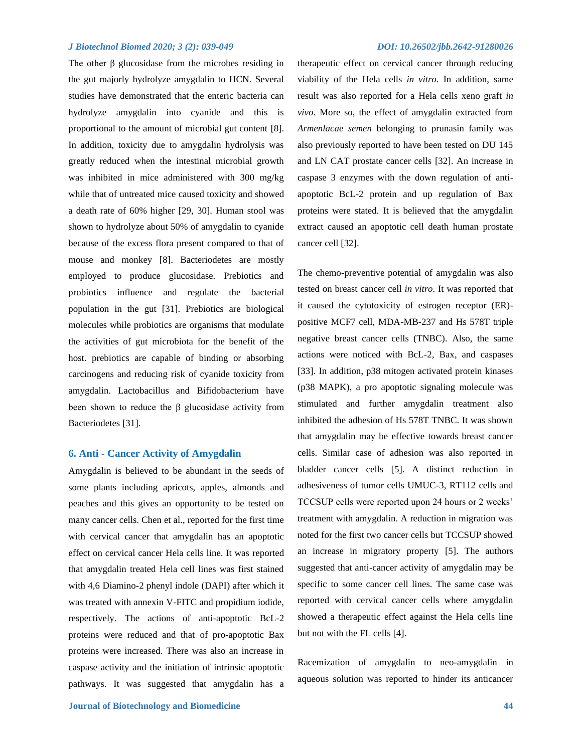The other  $\beta$  glucosidase from the microbes residing in the gut majorly hydrolyze amygdalin to HCN. Several studies have demonstrated that the enteric bacteria can hydrolyze amygdalin into cyanide and this is proportional to the amount of microbial gut content [8]. In addition, toxicity due to amygdalin hydrolysis was greatly reduced when the intestinal microbial growth was inhibited in mice administered with 300 mg/kg while that of untreated mice caused toxicity and showed a death rate of 60% higher [29, 30]. Human stool was shown to hydrolyze about 50% of amygdalin to cyanide because of the excess flora present compared to that of mouse and monkey [8]. Bacteriodetes are mostly employed to produce glucosidase. Prebiotics and probiotics influence and regulate the bacterial population in the gut [31]. Prebiotics are biological molecules while probiotics are organisms that modulate the activities of gut microbiota for the benefit of the host. prebiotics are capable of binding or absorbing carcinogens and reducing risk of cyanide toxicity from amygdalin. Lactobacillus and Bifidobacterium have been shown to reduce the  $\beta$  glucosidase activity from Bacteriodetes [31].

### **6. Anti - Cancer Activity of Amygdalin**

Amygdalin is believed to be abundant in the seeds of some plants including apricots, apples, almonds and peaches and this gives an opportunity to be tested on many cancer cells. Chen et al., reported for the first time with cervical cancer that amygdalin has an apoptotic effect on cervical cancer Hela cells line. It was reported that amygdalin treated Hela cell lines was first stained with 4,6 Diamino-2 phenyl indole (DAPI) after which it was treated with annexin V-FITC and propidium iodide, respectively. The actions of anti-apoptotic BcL-2 proteins were reduced and that of pro-apoptotic Bax proteins were increased. There was also an increase in caspase activity and the initiation of intrinsic apoptotic pathways. It was suggested that amygdalin has a

therapeutic effect on cervical cancer through reducing viability of the Hela cells *in vitro*. In addition, same result was also reported for a Hela cells xeno graft *in vivo*. More so, the effect of amygdalin extracted from *Armenlacae semen* belonging to prunasin family was also previously reported to have been tested on DU 145 and LN CAT prostate cancer cells [32]. An increase in caspase 3 enzymes with the down regulation of antiapoptotic BcL-2 protein and up regulation of Bax proteins were stated. It is believed that the amygdalin extract caused an apoptotic cell death human prostate cancer cell [32].

The chemo-preventive potential of amygdalin was also tested on breast cancer cell *in vitro*. It was reported that it caused the cytotoxicity of estrogen receptor (ER) positive MCF7 cell, MDA-MB-237 and Hs 578T triple negative breast cancer cells (TNBC). Also, the same actions were noticed with BcL-2, Bax, and caspases [33]. In addition, p38 mitogen activated protein kinases (p38 MAPK), a pro apoptotic signaling molecule was stimulated and further amygdalin treatment also inhibited the adhesion of Hs 578T TNBC. It was shown that amygdalin may be effective towards breast cancer cells. Similar case of adhesion was also reported in bladder cancer cells [5]. A distinct reduction in adhesiveness of tumor cells UMUC-3, RT112 cells and TCCSUP cells were reported upon 24 hours or 2 weeks' treatment with amygdalin. A reduction in migration was noted for the first two cancer cells but TCCSUP showed an increase in migratory property [5]. The authors suggested that anti-cancer activity of amygdalin may be specific to some cancer cell lines. The same case was reported with cervical cancer cells where amygdalin showed a therapeutic effect against the Hela cells line but not with the FL cells [4].

Racemization of amygdalin to neo-amygdalin in aqueous solution was reported to hinder its anticancer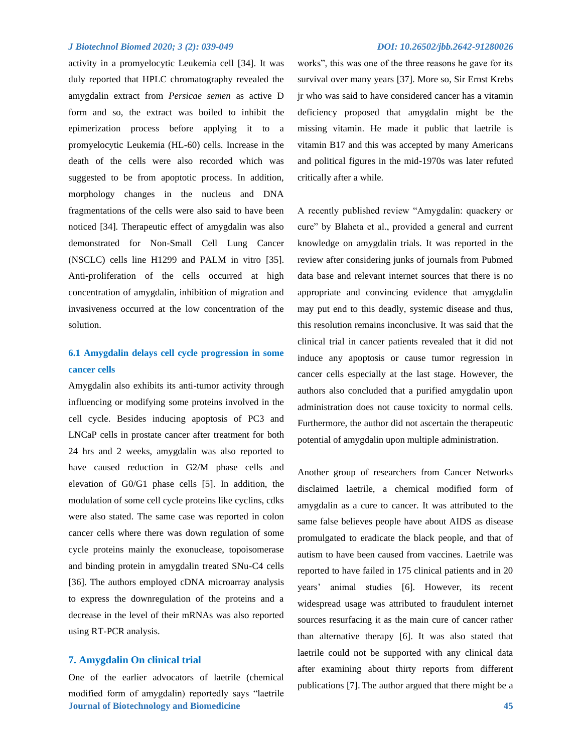activity in a promyelocytic Leukemia cell [34]. It was duly reported that HPLC chromatography revealed the amygdalin extract from *Persicae semen* as active D form and so, the extract was boiled to inhibit the epimerization process before applying it to a promyelocytic Leukemia (HL-60) cells. Increase in the death of the cells were also recorded which was suggested to be from apoptotic process. In addition, morphology changes in the nucleus and DNA fragmentations of the cells were also said to have been noticed [34]. Therapeutic effect of amygdalin was also demonstrated for Non-Small Cell Lung Cancer (NSCLC) cells line H1299 and PALM in vitro [35]. Anti-proliferation of the cells occurred at high concentration of amygdalin, inhibition of migration and invasiveness occurred at the low concentration of the solution.

# **6.1 Amygdalin delays cell cycle progression in some cancer cells**

Amygdalin also exhibits its anti-tumor activity through influencing or modifying some proteins involved in the cell cycle. Besides inducing apoptosis of PC3 and LNCaP cells in prostate cancer after treatment for both 24 hrs and 2 weeks, amygdalin was also reported to have caused reduction in G2/M phase cells and elevation of G0/G1 phase cells [5]. In addition, the modulation of some cell cycle proteins like cyclins, cdks were also stated. The same case was reported in colon cancer cells where there was down regulation of some cycle proteins mainly the exonuclease, topoisomerase and binding protein in amygdalin treated SNu-C4 cells [36]. The authors employed cDNA microarray analysis to express the downregulation of the proteins and a decrease in the level of their mRNAs was also reported using RT-PCR analysis.

### **7. Amygdalin On clinical trial**

**Journal of Biotechnology and Biomedicine 45** One of the earlier advocators of laetrile (chemical modified form of amygdalin) reportedly says "laetrile

works", this was one of the three reasons he gave for its survival over many years [37]. More so, Sir Ernst Krebs jr who was said to have considered cancer has a vitamin deficiency proposed that amygdalin might be the missing vitamin. He made it public that laetrile is vitamin B17 and this was accepted by many Americans and political figures in the mid-1970s was later refuted critically after a while.

A recently published review "Amygdalin: quackery or cure" by Blaheta et al., provided a general and current knowledge on amygdalin trials. It was reported in the review after considering junks of journals from Pubmed data base and relevant internet sources that there is no appropriate and convincing evidence that amygdalin may put end to this deadly, systemic disease and thus, this resolution remains inconclusive. It was said that the clinical trial in cancer patients revealed that it did not induce any apoptosis or cause tumor regression in cancer cells especially at the last stage. However, the authors also concluded that a purified amygdalin upon administration does not cause toxicity to normal cells. Furthermore, the author did not ascertain the therapeutic potential of amygdalin upon multiple administration.

Another group of researchers from Cancer Networks disclaimed laetrile, a chemical modified form of amygdalin as a cure to cancer. It was attributed to the same false believes people have about AIDS as disease promulgated to eradicate the black people, and that of autism to have been caused from vaccines. Laetrile was reported to have failed in 175 clinical patients and in 20 years' animal studies [6]. However, its recent widespread usage was attributed to fraudulent internet sources resurfacing it as the main cure of cancer rather than alternative therapy [6]. It was also stated that laetrile could not be supported with any clinical data after examining about thirty reports from different publications [7]. The author argued that there might be a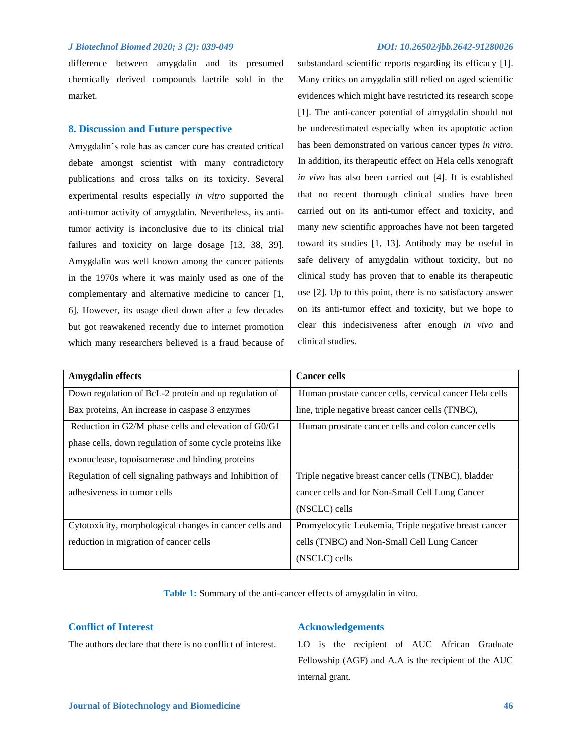difference between amygdalin and its presumed chemically derived compounds laetrile sold in the market.

#### **8. Discussion and Future perspective**

Amygdalin's role has as cancer cure has created critical debate amongst scientist with many contradictory publications and cross talks on its toxicity. Several experimental results especially *in vitro* supported the anti-tumor activity of amygdalin. Nevertheless, its antitumor activity is inconclusive due to its clinical trial failures and toxicity on large dosage [13, 38, 39]. Amygdalin was well known among the cancer patients in the 1970s where it was mainly used as one of the complementary and alternative medicine to cancer [1, 6]. However, its usage died down after a few decades but got reawakened recently due to internet promotion which many researchers believed is a fraud because of

substandard scientific reports regarding its efficacy [1]. Many critics on amygdalin still relied on aged scientific evidences which might have restricted its research scope [1]. The anti-cancer potential of amygdalin should not be underestimated especially when its apoptotic action has been demonstrated on various cancer types *in vitro*. In addition, its therapeutic effect on Hela cells xenograft *in vivo* has also been carried out [4]. It is established that no recent thorough clinical studies have been carried out on its anti-tumor effect and toxicity, and many new scientific approaches have not been targeted toward its studies [1, 13]. Antibody may be useful in safe delivery of amygdalin without toxicity, but no clinical study has proven that to enable its therapeutic use [2]. Up to this point, there is no satisfactory answer on its anti-tumor effect and toxicity, but we hope to clear this indecisiveness after enough *in vivo* and clinical studies.

| Amygdalin effects                                        | <b>Cancer cells</b>                                     |
|----------------------------------------------------------|---------------------------------------------------------|
| Down regulation of BcL-2 protein and up regulation of    | Human prostate cancer cells, cervical cancer Hela cells |
| Bax proteins, An increase in caspase 3 enzymes           | line, triple negative breast cancer cells (TNBC),       |
| Reduction in G2/M phase cells and elevation of G0/G1     | Human prostrate cancer cells and colon cancer cells     |
| phase cells, down regulation of some cycle proteins like |                                                         |
| exonuclease, topoisomerase and binding proteins          |                                                         |
| Regulation of cell signaling pathways and Inhibition of  | Triple negative breast cancer cells (TNBC), bladder     |
| adhesiveness in tumor cells                              | cancer cells and for Non-Small Cell Lung Cancer         |
|                                                          | (NSCLC) cells                                           |
| Cytotoxicity, morphological changes in cancer cells and  | Promyelocytic Leukemia, Triple negative breast cancer   |
| reduction in migration of cancer cells                   | cells (TNBC) and Non-Small Cell Lung Cancer             |
|                                                          | (NSCLC) cells                                           |

**Table 1:** Summary of the anti-cancer effects of amygdalin in vitro.

### **Conflict of Interest**

The authors declare that there is no conflict of interest.

#### **Acknowledgements**

I.O is the recipient of AUC African Graduate Fellowship (AGF) and A.A is the recipient of the AUC internal grant.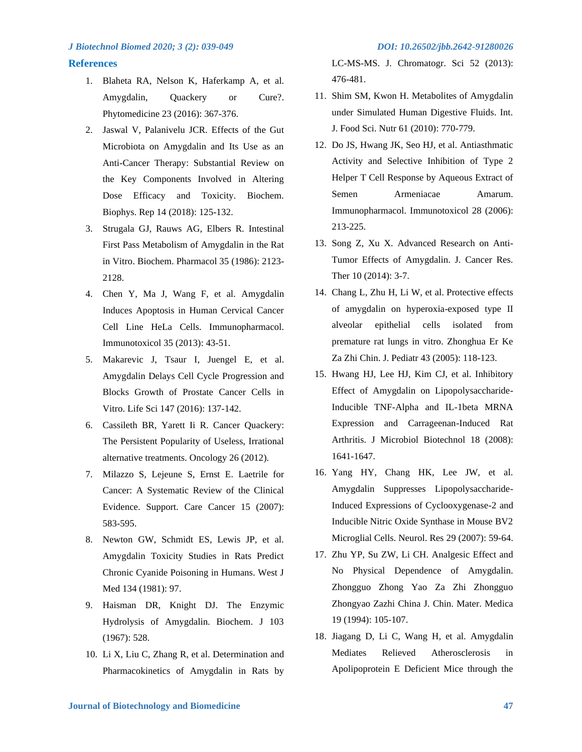#### **References**

- 1. Blaheta RA, Nelson K, Haferkamp A, et al. Amygdalin, Quackery or Cure?. Phytomedicine 23 (2016): 367-376.
- 2. Jaswal V, Palanivelu JCR. Effects of the Gut Microbiota on Amygdalin and Its Use as an Anti-Cancer Therapy: Substantial Review on the Key Components Involved in Altering Dose Efficacy and Toxicity. Biochem. Biophys. Rep 14 (2018): 125-132.
- 3. Strugala GJ, Rauws AG, Elbers R. Intestinal First Pass Metabolism of Amygdalin in the Rat in Vitro. Biochem. Pharmacol 35 (1986): 2123- 2128.
- 4. Chen Y, Ma J, Wang F, et al. Amygdalin Induces Apoptosis in Human Cervical Cancer Cell Line HeLa Cells. Immunopharmacol. Immunotoxicol 35 (2013): 43-51.
- 5. Makarevic J, Tsaur I, Juengel E, et al. Amygdalin Delays Cell Cycle Progression and Blocks Growth of Prostate Cancer Cells in Vitro. Life Sci 147 (2016): 137-142.
- 6. Cassileth BR, Yarett Ii R. Cancer Quackery: The Persistent Popularity of Useless, Irrational alternative treatments. Oncology 26 (2012).
- 7. Milazzo S, Lejeune S, Ernst E. Laetrile for Cancer: A Systematic Review of the Clinical Evidence. Support. Care Cancer 15 (2007): 583-595.
- 8. Newton GW, Schmidt ES, Lewis JP, et al. Amygdalin Toxicity Studies in Rats Predict Chronic Cyanide Poisoning in Humans. West J Med 134 (1981): 97.
- 9. Haisman DR, Knight DJ. The Enzymic Hydrolysis of Amygdalin. Biochem. J 103 (1967): 528.
- 10. Li X, Liu C, Zhang R, et al. Determination and Pharmacokinetics of Amygdalin in Rats by

LC-MS-MS. J. Chromatogr. Sci 52 (2013): 476-481.

- 11. Shim SM, Kwon H. Metabolites of Amygdalin under Simulated Human Digestive Fluids. Int. J. Food Sci. Nutr 61 (2010): 770-779.
- 12. Do JS, Hwang JK, Seo HJ, et al. Antiasthmatic Activity and Selective Inhibition of Type 2 Helper T Cell Response by Aqueous Extract of Semen Armeniacae Amarum. Immunopharmacol. Immunotoxicol 28 (2006): 213-225.
- 13. Song Z, Xu X. Advanced Research on Anti-Tumor Effects of Amygdalin. J. Cancer Res. Ther 10 (2014): 3-7.
- 14. Chang L, Zhu H, Li W, et al. Protective effects of amygdalin on hyperoxia-exposed type II alveolar epithelial cells isolated from premature rat lungs in vitro. Zhonghua Er Ke Za Zhi Chin. J. Pediatr 43 (2005): 118-123.
- 15. Hwang HJ, Lee HJ, Kim CJ, et al. Inhibitory Effect of Amygdalin on Lipopolysaccharide-Inducible TNF-Alpha and IL-1beta MRNA Expression and Carrageenan-Induced Rat Arthritis. J Microbiol Biotechnol 18 (2008): 1641-1647.
- 16. Yang HY, Chang HK, Lee JW, et al. Amygdalin Suppresses Lipopolysaccharide-Induced Expressions of Cyclooxygenase-2 and Inducible Nitric Oxide Synthase in Mouse BV2 Microglial Cells. Neurol. Res 29 (2007): 59-64.
- 17. Zhu YP, Su ZW, Li CH. Analgesic Effect and No Physical Dependence of Amygdalin. Zhongguo Zhong Yao Za Zhi Zhongguo Zhongyao Zazhi China J. Chin. Mater. Medica 19 (1994): 105-107.
- 18. Jiagang D, Li C, Wang H, et al. Amygdalin Mediates Relieved Atherosclerosis in Apolipoprotein E Deficient Mice through the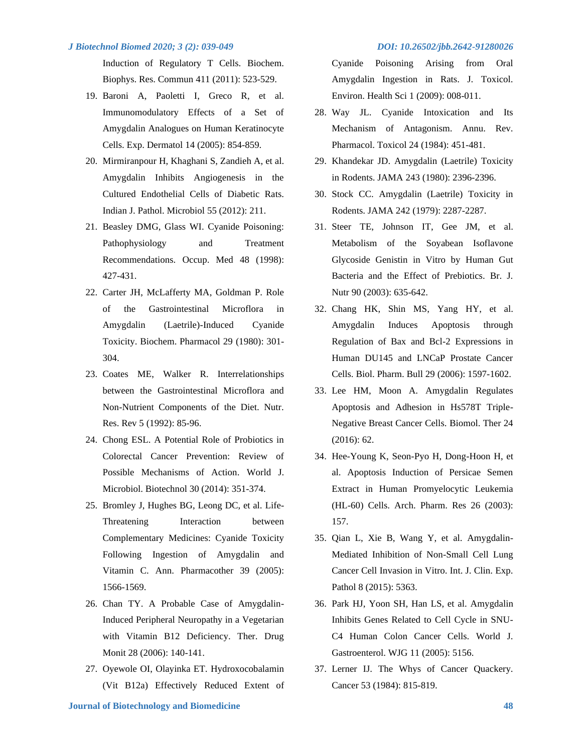Induction of Regulatory T Cells. Biochem. Biophys. Res. Commun 411 (2011): 523-529.

- 19. Baroni A, Paoletti I, Greco R, et al. Immunomodulatory Effects of a Set of Amygdalin Analogues on Human Keratinocyte Cells. Exp. Dermatol 14 (2005): 854-859.
- 20. Mirmiranpour H, Khaghani S, Zandieh A, et al. Amygdalin Inhibits Angiogenesis in the Cultured Endothelial Cells of Diabetic Rats. Indian J. Pathol. Microbiol 55 (2012): 211.
- 21. Beasley DMG, Glass WI. Cyanide Poisoning: Pathophysiology and Treatment Recommendations. Occup. Med 48 (1998): 427-431.
- 22. Carter JH, McLafferty MA, Goldman P. Role of the Gastrointestinal Microflora in Amygdalin (Laetrile)-Induced Cyanide Toxicity. Biochem. Pharmacol 29 (1980): 301- 304.
- 23. Coates ME, Walker R. Interrelationships between the Gastrointestinal Microflora and Non-Nutrient Components of the Diet. Nutr. Res. Rev 5 (1992): 85-96.
- 24. Chong ESL. A Potential Role of Probiotics in Colorectal Cancer Prevention: Review of Possible Mechanisms of Action. World J. Microbiol. Biotechnol 30 (2014): 351-374.
- 25. Bromley J, Hughes BG, Leong DC, et al. Life-Threatening Interaction between Complementary Medicines: Cyanide Toxicity Following Ingestion of Amygdalin and Vitamin C. Ann. Pharmacother 39 (2005): 1566-1569.
- 26. Chan TY. A Probable Case of Amygdalin-Induced Peripheral Neuropathy in a Vegetarian with Vitamin B12 Deficiency. Ther. Drug Monit 28 (2006): 140-141.
- 27. Oyewole OI, Olayinka ET. Hydroxocobalamin (Vit B12a) Effectively Reduced Extent of

Cyanide Poisoning Arising from Oral Amygdalin Ingestion in Rats. J. Toxicol. Environ. Health Sci 1 (2009): 008-011.

- 28. Way JL. Cyanide Intoxication and Its Mechanism of Antagonism. Annu. Rev. Pharmacol. Toxicol 24 (1984): 451-481.
- 29. Khandekar JD. Amygdalin (Laetrile) Toxicity in Rodents. JAMA 243 (1980): 2396-2396.
- 30. Stock CC. Amygdalin (Laetrile) Toxicity in Rodents. JAMA 242 (1979): 2287-2287.
- 31. Steer TE, Johnson IT, Gee JM, et al. Metabolism of the Soyabean Isoflavone Glycoside Genistin in Vitro by Human Gut Bacteria and the Effect of Prebiotics. Br. J. Nutr 90 (2003): 635-642.
- 32. Chang HK, Shin MS, Yang HY, et al. Amygdalin Induces Apoptosis through Regulation of Bax and Bcl-2 Expressions in Human DU145 and LNCaP Prostate Cancer Cells. Biol. Pharm. Bull 29 (2006): 1597-1602.
- 33. Lee HM, Moon A. Amygdalin Regulates Apoptosis and Adhesion in Hs578T Triple-Negative Breast Cancer Cells. Biomol. Ther 24 (2016): 62.
- 34. Hee-Young K, Seon-Pyo H, Dong-Hoon H, et al. Apoptosis Induction of Persicae Semen Extract in Human Promyelocytic Leukemia (HL-60) Cells. Arch. Pharm. Res 26 (2003): 157.
- 35. Qian L, Xie B, Wang Y, et al. Amygdalin-Mediated Inhibition of Non-Small Cell Lung Cancer Cell Invasion in Vitro. Int. J. Clin. Exp. Pathol 8 (2015): 5363.
- 36. Park HJ, Yoon SH, Han LS, et al. Amygdalin Inhibits Genes Related to Cell Cycle in SNU-C4 Human Colon Cancer Cells. World J. Gastroenterol. WJG 11 (2005): 5156.
- 37. Lerner IJ. The Whys of Cancer Quackery. Cancer 53 (1984): 815-819.